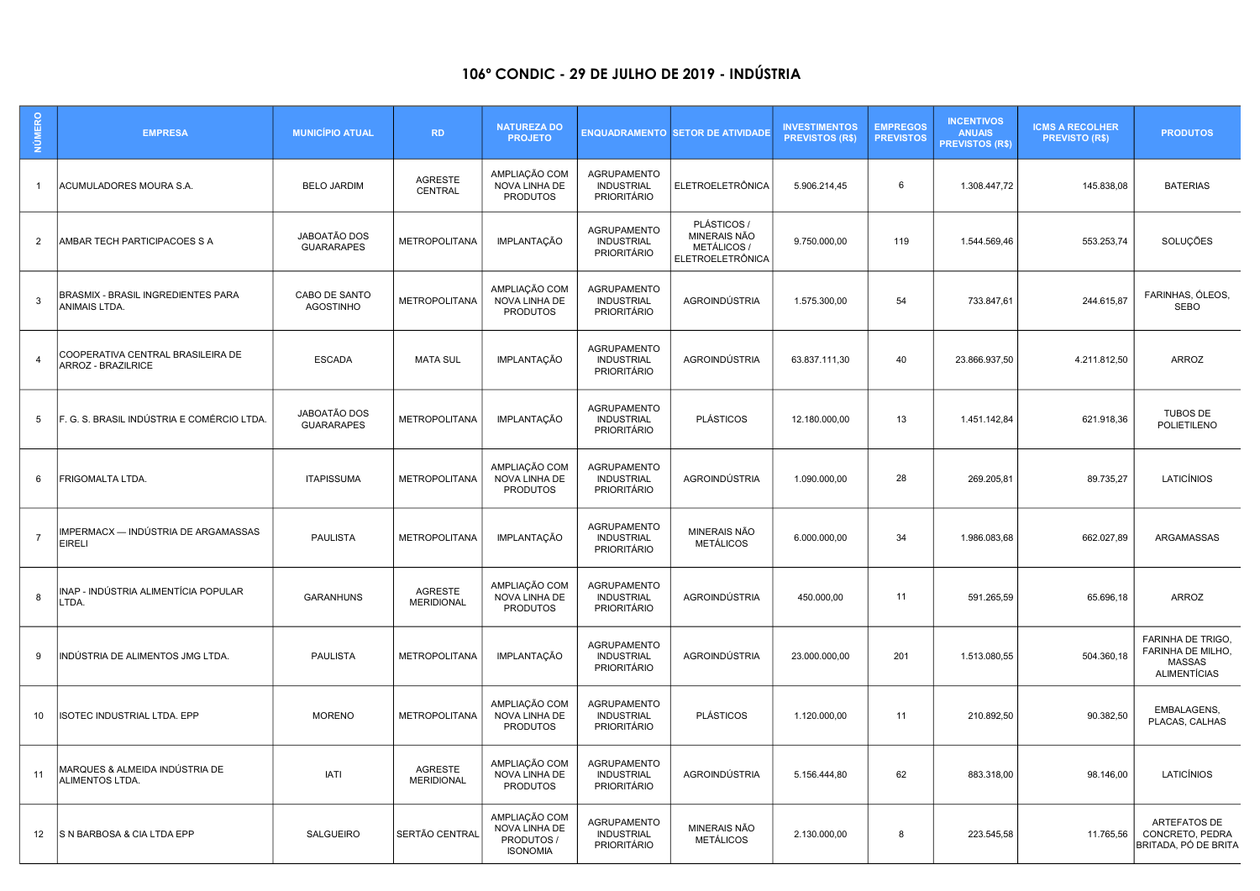## 106º CONDIC - 29 DE JULHO DE 2019 - INDÚSTRIA

| <b>NÚMERO</b>  | <b>EMPRESA</b>                                                 | <b>MUNICÍPIO ATUAL</b>            | <b>RD</b>                           | <b>NATUREZA DO</b><br><b>PROJETO</b>                            |                                                               | <b>ENQUADRAMENTO SETOR DE ATIVIDADE</b>                                      | <b>INVESTIMENTOS</b><br><b>PREVISTOS (R\$)</b> | <b>EMPREGOS</b><br><b>PREVISTOS</b> | <b>INCENTIVOS</b><br><b>ANUAIS</b><br><b>PREVISTOS (R\$)</b> | <b>ICMS A RECOLHER</b><br><b>PREVISTO (R\$)</b> | <b>PRODUTOS</b>                                                         |
|----------------|----------------------------------------------------------------|-----------------------------------|-------------------------------------|-----------------------------------------------------------------|---------------------------------------------------------------|------------------------------------------------------------------------------|------------------------------------------------|-------------------------------------|--------------------------------------------------------------|-------------------------------------------------|-------------------------------------------------------------------------|
|                | ACUMULADORES MOURA S.A.                                        | <b>BELO JARDIM</b>                | <b>AGRESTE</b><br>CENTRAL           | AMPLIAÇÃO COM<br>NOVA LINHA DE<br><b>PRODUTOS</b>               | <b>AGRUPAMENTO</b><br><b>INDUSTRIAL</b><br><b>PRIORITÁRIO</b> | <b>ELETROELETRÔNICA</b>                                                      | 5.906.214,45                                   | 6                                   | 1.308.447,72                                                 | 145.838,08                                      | <b>BATERIAS</b>                                                         |
| 2              | AMBAR TECH PARTICIPACOES S A                                   | JABOATÃO DOS<br><b>GUARARAPES</b> | <b>METROPOLITANA</b>                | <b>IMPLANTAÇÃO</b>                                              | <b>AGRUPAMENTO</b><br><b>INDUSTRIAL</b><br><b>PRIORITÁRIO</b> | PLÁSTICOS /<br>MINERAIS NÃO<br><b>METÁLICOS /</b><br><b>ELETROELETRÔNICA</b> | 9.750.000,00                                   | 119                                 | 1.544.569,46                                                 | 553.253,74                                      | SOLUÇÕES                                                                |
| 3              | BRASMIX - BRASIL INGREDIENTES PARA<br>ANIMAIS LTDA.            | CABO DE SANTO<br><b>AGOSTINHO</b> | <b>METROPOLITANA</b>                | AMPLIAÇÃO COM<br>NOVA LINHA DE<br><b>PRODUTOS</b>               | <b>AGRUPAMENTO</b><br><b>INDUSTRIAL</b><br><b>PRIORITÁRIO</b> | AGROINDÚSTRIA                                                                | 1.575.300,00                                   | 54                                  | 733.847,61                                                   | 244.615,87                                      | FARINHAS, ÓLEOS,<br><b>SEBO</b>                                         |
| $\overline{4}$ | COOPERATIVA CENTRAL BRASILEIRA DE<br><b>ARROZ - BRAZILRICE</b> | <b>ESCADA</b>                     | <b>MATA SUL</b>                     | <b>IMPLANTAÇÃO</b>                                              | <b>AGRUPAMENTO</b><br><b>INDUSTRIAL</b><br><b>PRIORITÁRIO</b> | AGROINDÚSTRIA                                                                | 63.837.111,30                                  | 40                                  | 23.866.937,50                                                | 4.211.812,50                                    | <b>ARROZ</b>                                                            |
| -5             | F. G. S. BRASIL INDÚSTRIA E COMÉRCIO LTDA                      | JABOATÃO DOS<br><b>GUARARAPES</b> | <b>METROPOLITANA</b>                | <b>IMPLANTAÇÃO</b>                                              | <b>AGRUPAMENTO</b><br><b>INDUSTRIAL</b><br><b>PRIORITÁRIO</b> | <b>PLÁSTICOS</b>                                                             | 12.180.000,00                                  | 13                                  | 1.451.142,84                                                 | 621.918,36                                      | <b>TUBOS DE</b><br><b>POLIETILENO</b>                                   |
| 6              | <b>FRIGOMALTA LTDA.</b>                                        | <b>ITAPISSUMA</b>                 | <b>METROPOLITANA</b>                | AMPLIAÇÃO COM<br>NOVA LINHA DE<br><b>PRODUTOS</b>               | <b>AGRUPAMENTO</b><br><b>INDUSTRIAL</b><br><b>PRIORITÁRIO</b> | AGROINDÚSTRIA                                                                | 1.090.000,00                                   | 28                                  | 269.205,81                                                   | 89.735,27                                       | LATICÍNIOS                                                              |
| $\overline{7}$ | IMPERMACX — INDÚSTRIA DE ARGAMASSAS<br><b>EIRELI</b>           | <b>PAULISTA</b>                   | <b>METROPOLITANA</b>                | <b>IMPLANTAÇÃO</b>                                              | <b>AGRUPAMENTO</b><br><b>INDUSTRIAL</b><br>PRIORITÁRIO        | MINERAIS NÃO<br><b>METÁLICOS</b>                                             | 6.000.000,00                                   | 34                                  | 1.986.083,68                                                 | 662.027,89                                      | ARGAMASSAS                                                              |
| -8             | INAP - INDÚSTRIA ALIMENTÍCIA POPULAR<br>LTDA.                  | <b>GARANHUNS</b>                  | <b>AGRESTE</b><br><b>MERIDIONAL</b> | AMPLIAÇÃO COM<br>NOVA LINHA DE<br><b>PRODUTOS</b>               | AGRUPAMENTO<br><b>INDUSTRIAL</b><br><b>PRIORITÁRIO</b>        | AGROINDÚSTRIA                                                                | 450.000,00                                     | 11                                  | 591.265,59                                                   | 65.696,18                                       | <b>ARROZ</b>                                                            |
| -9             | INDÚSTRIA DE ALIMENTOS JMG LTDA.                               | <b>PAULISTA</b>                   | <b>METROPOLITANA</b>                | <b>IMPLANTAÇÃO</b>                                              | <b>AGRUPAMENTO</b><br><b>INDUSTRIAL</b><br>PRIORITÁRIO        | AGROINDÚSTRIA                                                                | 23.000.000,00                                  | 201                                 | 1.513.080,55                                                 | 504.360,18                                      | FARINHA DE TRIGO,<br>FARINHA DE MILHO,<br>MASSAS<br><b>ALIMENTÍCIAS</b> |
| 10             | ISOTEC INDUSTRIAL LTDA. EPP                                    | <b>MORENO</b>                     | <b>METROPOLITANA</b>                | AMPLIAÇÃO COM<br>NOVA LINHA DE<br><b>PRODUTOS</b>               | <b>AGRUPAMENTO</b><br><b>INDUSTRIAL</b><br><b>PRIORITÁRIO</b> | <b>PLÁSTICOS</b>                                                             | 1.120.000,00                                   | 11                                  | 210.892,50                                                   | 90.382,50                                       | EMBALAGENS,<br>PLACAS, CALHAS                                           |
| 11             | MARQUES & ALMEIDA INDÚSTRIA DE<br>ALIMENTOS LTDA.              | <b>IATI</b>                       | AGRESTE<br><b>MERIDIONAL</b>        | AMPLIAÇÃO COM<br>NOVA LINHA DE<br><b>PRODUTOS</b>               | <b>AGRUPAMENTO</b><br><b>INDUSTRIAL</b><br><b>PRIORITÁRIO</b> | AGROINDÚSTRIA                                                                | 5.156.444,80                                   | 62                                  | 883.318,00                                                   | 98.146,00                                       | LATICÍNIOS                                                              |
| 12             | S N BARBOSA & CIA LTDA EPP                                     | <b>SALGUEIRO</b>                  | SERTÃO CENTRAL                      | AMPLIAÇÃO COM<br>NOVA LINHA DE<br>PRODUTOS /<br><b>ISONOMIA</b> | <b>AGRUPAMENTO</b><br><b>INDUSTRIAL</b><br><b>PRIORITÁRIO</b> | MINERAIS NÃO<br><b>METÁLICOS</b>                                             | 2.130.000,00                                   | 8                                   | 223.545,58                                                   | 11.765,56                                       | <b>ARTEFATOS DE</b><br>CONCRETO, PEDRA<br>BRITADA, PÓ DE BRITA          |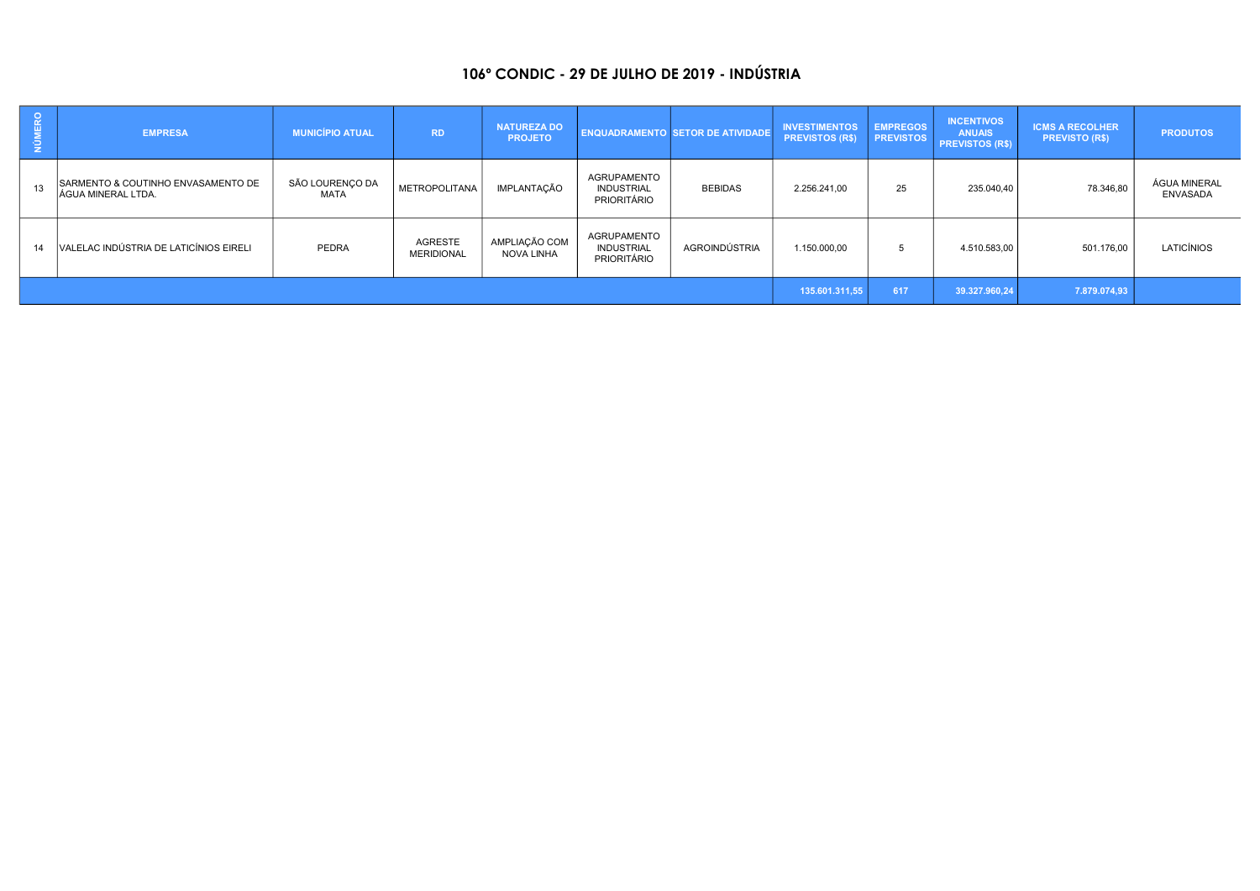## 106º CONDIC - 29 DE JULHO DE 2019 - INDÚSTRIA

| <b>NÚMERO</b> | <b>EMPRESA</b>                                                   | <b>MUNICÍPIO ATUAL</b>  | <b>RD</b>                    | <b>NATUREZA DO</b><br><b>PROJETO</b> |                                                        | ENQUADRAMENTO SETOR DE ATIVIDADE | <b>INVESTIMENTOS</b><br><b>PREVISTOS (R\$)</b> | <b>EMPREGOS</b><br><b>PREVISTOS</b> | <b>INCENTIVOS</b><br><b>ANUAIS</b><br><b>PREVISTOS (R\$)</b> | <b>ICMS A RECOLHER</b><br><b>PREVISTO (R\$)</b> | <b>PRODUTOS</b>                 |
|---------------|------------------------------------------------------------------|-------------------------|------------------------------|--------------------------------------|--------------------------------------------------------|----------------------------------|------------------------------------------------|-------------------------------------|--------------------------------------------------------------|-------------------------------------------------|---------------------------------|
| 13            | SARMENTO & COUTINHO ENVASAMENTO DE<br><b>JÁGUA MINERAL LTDA.</b> | SÃO LOURENÇO DA<br>MATA | <b>METROPOLITANA</b>         | IMPLANTAÇÃO                          | <b>AGRUPAMENTO</b><br><b>INDUSTRIAL</b><br>PRIORITÁRIO | <b>BEBIDAS</b>                   | 2.256.241.00                                   | 25                                  | 235.040,40                                                   | 78.346,80                                       | ÁGUA MINERAL<br><b>ENVASADA</b> |
| 14            | VALELAC INDÚSTRIA DE LATICÍNIOS EIRELI                           | PEDRA                   | AGRESTE<br><b>MERIDIONAL</b> | AMPLIAÇÃO COM<br>NOVA LINHA          | AGRUPAMENTO<br><b>INDUSTRIAL</b><br>PRIORITÁRIO        | AGROINDÚSTRIA                    | 1.150.000,00                                   |                                     | 4.510.583,00                                                 | 501.176,00                                      | LATICÍNIOS                      |
|               |                                                                  |                         |                              |                                      |                                                        |                                  |                                                | 617                                 | 39.327.960.24                                                | 7.879.074,93                                    |                                 |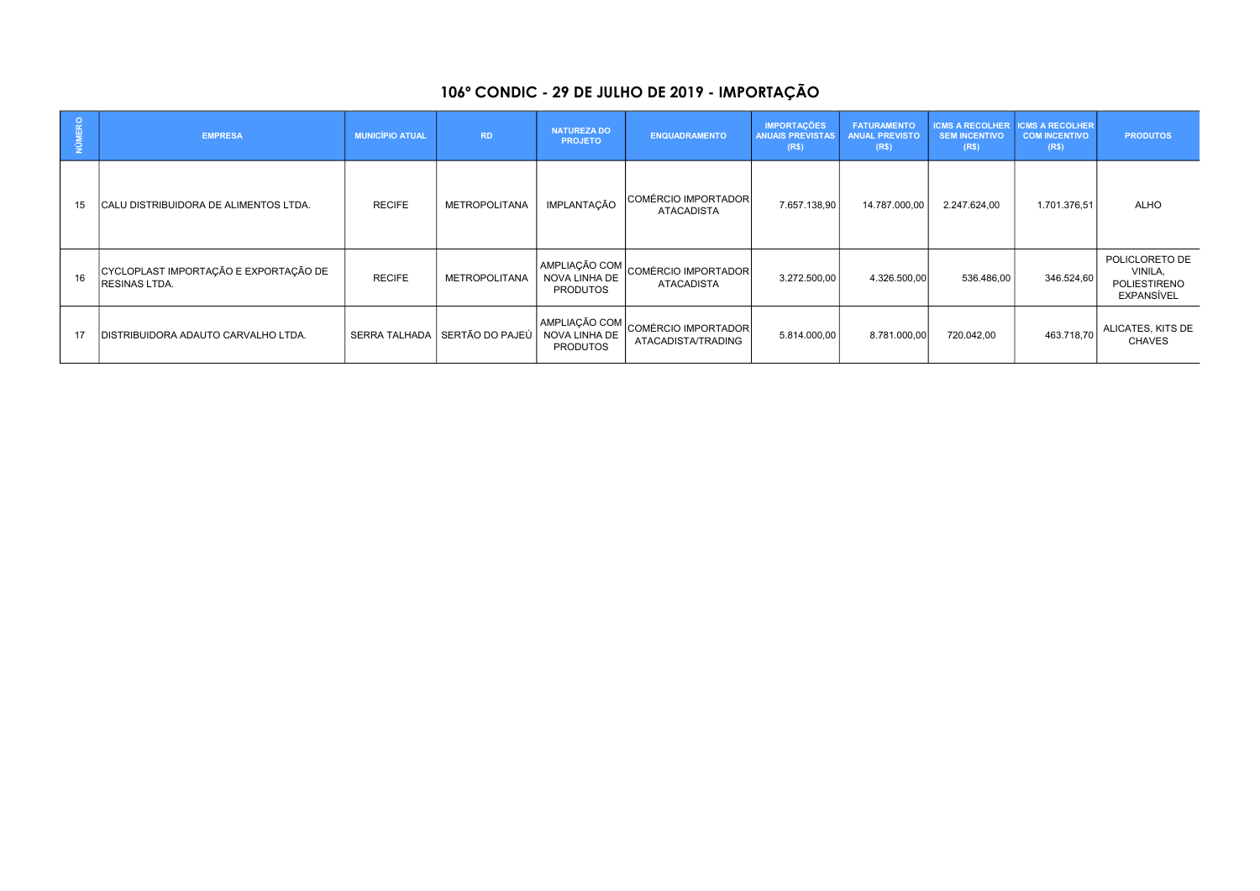## 106º CONDIC - 29 DE JULHO DE 2019 - IMPORTAÇÃO

| <b>NÚMERO</b> | <b>EMPRESA</b>                                                | <b>MUNICÍPIO ATUAL</b> | <b>RD</b>            | <b>NATUREZA DO</b><br><b>PROJETO</b>              | <b>ENQUADRAMENTO</b>                       | <b>IMPORTAÇÕES</b><br><b>ANUAIS PREVISTAS</b><br>(R\$) | <b>FATURAMENTO</b><br><b>ANUAL PREVISTO</b><br>(R\$) | <b>ICMS A RECOLHER</b><br><b>SEM INCENTIVO</b><br>(R\$) | <b>ICMS A RECOLHER</b><br><b>COM INCENTIVO</b><br>(R\$) | <b>PRODUTOS</b>                                         |
|---------------|---------------------------------------------------------------|------------------------|----------------------|---------------------------------------------------|--------------------------------------------|--------------------------------------------------------|------------------------------------------------------|---------------------------------------------------------|---------------------------------------------------------|---------------------------------------------------------|
| 15            | CALU DISTRIBUIDORA DE ALIMENTOS LTDA.                         | <b>RECIFE</b>          | <b>METROPOLITANA</b> | IMPLANTAÇÃO                                       | COMÉRCIO IMPORTADOR<br><b>ATACADISTA</b>   | 7.657.138,90                                           | 14.787.000,00                                        | 2.247.624,00                                            | 1.701.376,51                                            | ALHO                                                    |
| 16            | CYCLOPLAST IMPORTAÇÃO E EXPORTAÇÃO DE<br><b>RESINAS LTDA.</b> | <b>RECIFE</b>          | <b>METROPOLITANA</b> | AMPLIAÇÃO COM<br>NOVA LINHA DE<br><b>PRODUTOS</b> | COMÉRCIO IMPORTADOR<br><b>ATACADISTA</b>   | 3.272.500,00                                           | 4.326.500,00                                         | 536.486,00                                              | 346.524,60                                              | POLICLORETO DE<br>VINILA,<br>POLIESTIRENO<br>EXPANSÍVEL |
|               | DISTRIBUIDORA ADAUTO CARVALHO LTDA.                           | <b>SERRA TALHADA</b>   | SERTÃO DO PAJEÚ      | AMPLIAÇÃO COM<br>NOVA LINHA DE<br><b>PRODUTOS</b> | COMÉRCIO IMPORTADOR <br>ATACADISTA/TRADING | 5.814.000,00                                           | 8.781.000,00                                         | 720.042,00                                              | 463.718,70                                              | ALICATES, KITS DE<br><b>CHAVES</b>                      |